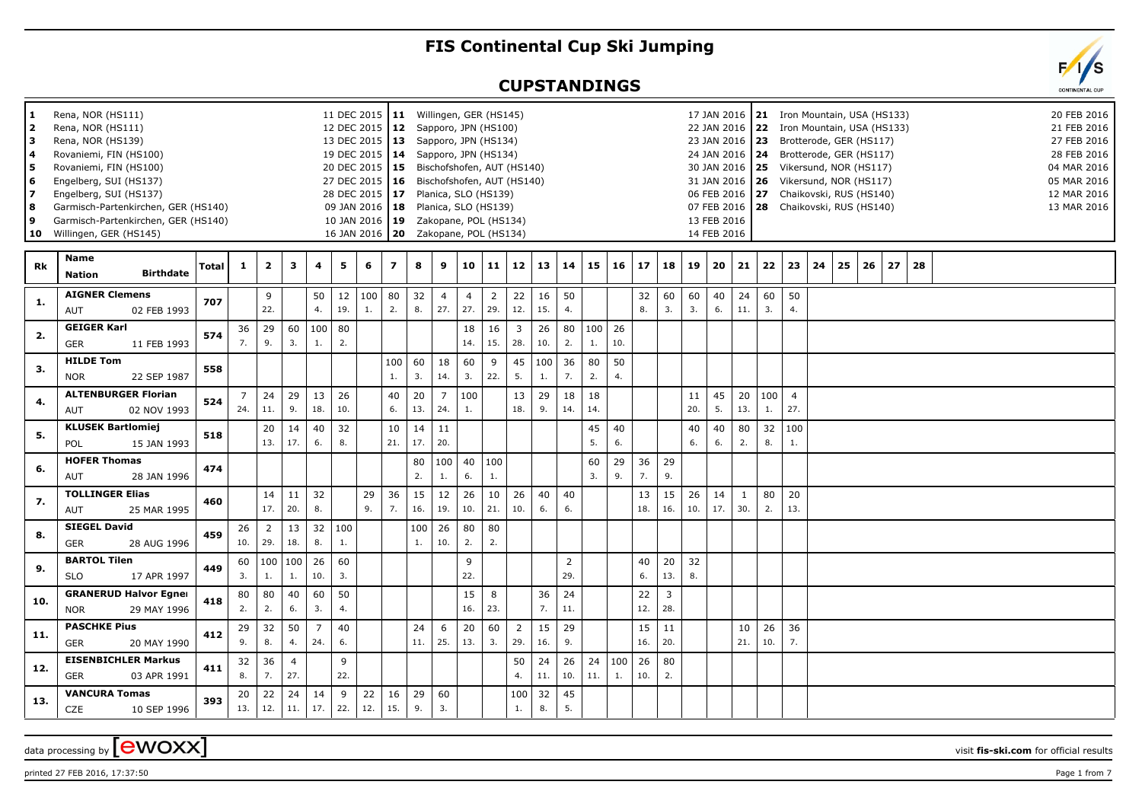## **FIS Continental Cup Ski Jumping**

## **CUPSTANDINGS**

| 1<br>2<br>3<br>4<br>5<br>6<br>17<br>8<br>9<br>10 | Rena, NOR (HS111)<br>Rena, NOR (HS111)<br>Rena, NOR (HS139)<br>Rovaniemi, FIN (HS100)<br>Rovaniemi, FIN (HS100)<br>Engelberg, SUI (HS137)<br>Engelberg, SUI (HS137)<br>Willingen, GER (HS145) | Garmisch-Partenkirchen, GER (HS140)<br>Garmisch-Partenkirchen, GER (HS140) |       |                       |                         |                       |                       |           | 11 DEC 2015   11 Willingen, GER (HS145)<br>12 DEC 2015   12 Sapporo, JPN (HS100)<br>13 DEC 2015   13 Sapporo, JPN (HS134)<br>19 DEC 2015   14 Sapporo, JPN (HS134)<br>20 DEC 2015   15 Bischofshofen, AUT (HS140)<br>27 DEC 2015   16 Bischofshofen, AUT (HS140)<br>28 DEC 2015 17 Planica, SLO (HS139)<br>09 JAN 2016   18 Planica, SLO (HS139)<br>10 JAN 2016   19 Zakopane, POL (HS134)<br>16 JAN 2016   20 Zakopane, POL (HS134) |                |           |                       |                       |                       |                       |           |                       |           |                        |           |                       |           | 13 FEB 2016<br>14 FEB 2016 |                     |           |                       | 17 JAN 2016   21 Iron Mountain, USA (HS133)<br>22 JAN 2016 22 Iron Mountain, USA (HS133)<br>23 JAN 2016   23 Brotterode, GER (HS117)<br>24 JAN 2016   24 Brotterode, GER (HS117)<br>30 JAN 2016 25 Vikersund, NOR (HS117)<br>31 JAN 2016   26 Vikersund, NOR (HS117)<br>06 FEB 2016 27 Chaikovski, RUS (HS140)<br>07 FEB 2016   28 Chaikovski, RUS (HS140) |    |    |    |    |  |  |  | 20 FEB 2016<br>21 FEB 2016<br>27 FEB 2016<br>28 FEB 2016<br>04 MAR 2016<br>05 MAR 2016<br>12 MAR 2016<br>13 MAR 2016 |
|--------------------------------------------------|-----------------------------------------------------------------------------------------------------------------------------------------------------------------------------------------------|----------------------------------------------------------------------------|-------|-----------------------|-------------------------|-----------------------|-----------------------|-----------|--------------------------------------------------------------------------------------------------------------------------------------------------------------------------------------------------------------------------------------------------------------------------------------------------------------------------------------------------------------------------------------------------------------------------------------|----------------|-----------|-----------------------|-----------------------|-----------------------|-----------------------|-----------|-----------------------|-----------|------------------------|-----------|-----------------------|-----------|----------------------------|---------------------|-----------|-----------------------|------------------------------------------------------------------------------------------------------------------------------------------------------------------------------------------------------------------------------------------------------------------------------------------------------------------------------------------------------------|----|----|----|----|--|--|--|----------------------------------------------------------------------------------------------------------------------|
| Rk                                               | Name<br><b>Nation</b>                                                                                                                                                                         | <b>Birthdate</b>                                                           | Total | $\mathbf{1}$          | $\overline{\mathbf{2}}$ | 3                     | 4                     | 5         | 6                                                                                                                                                                                                                                                                                                                                                                                                                                    | $\overline{z}$ | 8         | 9                     | 10 <sup>1</sup>       | 11                    | 12                    | 13        | 14                    | 15        | $16 \mid 17$           |           | 18                    | 19        | $20 \mid 21$               |                     | 22        | 23                    | 24                                                                                                                                                                                                                                                                                                                                                         | 25 | 26 | 27 | 28 |  |  |  |                                                                                                                      |
| 1.                                               | <b>AIGNER Clemens</b><br>AUT                                                                                                                                                                  | 02 FEB 1993                                                                | 707   |                       | 9<br>22.                |                       | 50<br>4.              | 12<br>19. | 100<br>1.                                                                                                                                                                                                                                                                                                                                                                                                                            | 80<br>2.       | 32<br>8.  | $\overline{4}$<br>27. | $\overline{4}$<br>27. | $\overline{2}$<br>29. | 22<br>12.             | 16<br>15. | 50<br>4.              |           |                        | 32<br>8.  | 60<br>3.              | 60<br>3.  | 40<br>6.                   | 24<br>11.           | 60<br>3.  | 50<br>4.              |                                                                                                                                                                                                                                                                                                                                                            |    |    |    |    |  |  |  |                                                                                                                      |
| 2.                                               | <b>GEIGER Karl</b><br><b>GER</b>                                                                                                                                                              | 11 FEB 1993                                                                | 574   | 36<br>7.              | 29<br>9.                | 60<br>3.              | 100<br>1.             | 80<br>2.  |                                                                                                                                                                                                                                                                                                                                                                                                                                      |                |           |                       | 18<br>14.             | 16<br>15.             | $\mathbf{3}$<br>28.   | 26<br>10. | 80<br>2.              | 100<br>1. | 26<br>10.              |           |                       |           |                            |                     |           |                       |                                                                                                                                                                                                                                                                                                                                                            |    |    |    |    |  |  |  |                                                                                                                      |
| 3.                                               | <b>HILDE Tom</b><br><b>NOR</b>                                                                                                                                                                | 22 SEP 1987                                                                | 558   |                       |                         |                       |                       |           |                                                                                                                                                                                                                                                                                                                                                                                                                                      | 100<br>1.      | 60<br>3.  | 18<br>14.             | 60<br>3.              | 9<br>22.              | 45<br>5.              | 100<br>1. | 36<br>7.              | 80<br>2.  | 50<br>4.               |           |                       |           |                            |                     |           |                       |                                                                                                                                                                                                                                                                                                                                                            |    |    |    |    |  |  |  |                                                                                                                      |
| 4.                                               | <b>AUT</b>                                                                                                                                                                                    | <b>ALTENBURGER Florian</b><br>02 NOV 1993                                  | 524   | $\overline{7}$<br>24. | 24<br>11.               | 29<br>9.              | 13<br>18.             | 26<br>10. |                                                                                                                                                                                                                                                                                                                                                                                                                                      | 40<br>6.       | 20<br>13. | $\overline{7}$<br>24. | 100<br>1.             |                       | 13<br>18.             | 29<br>9.  | 18<br>14.             | 18<br>14. |                        |           |                       | 11<br>20. | 45<br>5.                   | 20<br>13.           | 100<br>1. | $\overline{4}$<br>27. |                                                                                                                                                                                                                                                                                                                                                            |    |    |    |    |  |  |  |                                                                                                                      |
| 5.                                               | <b>KLUSEK Bartlomiej</b><br><b>POL</b>                                                                                                                                                        | 15 JAN 1993                                                                | 518   |                       | 20<br>13.               | 14<br>17.             | 40<br>6.              | 32<br>8.  |                                                                                                                                                                                                                                                                                                                                                                                                                                      | 10<br>21.      | 14<br>17. | 11<br>20.             |                       |                       |                       |           |                       | 45<br>5.  | 40<br>6.               |           |                       | 40<br>6.  | 40<br>6.                   | 80<br>2.            | 32<br>8.  | 100<br>1.             |                                                                                                                                                                                                                                                                                                                                                            |    |    |    |    |  |  |  |                                                                                                                      |
| 6.                                               | <b>HOFER Thomas</b><br>AUT                                                                                                                                                                    | 28 JAN 1996                                                                | 474   |                       |                         |                       |                       |           |                                                                                                                                                                                                                                                                                                                                                                                                                                      |                | 80<br>2.  | 100<br>1.             | 40<br>6.              | 100<br>$\mathbf{1}$ . |                       |           |                       | 60<br>3.  | 29<br>9.               | 36<br>7.  | 29<br>9.              |           |                            |                     |           |                       |                                                                                                                                                                                                                                                                                                                                                            |    |    |    |    |  |  |  |                                                                                                                      |
| 7.                                               | <b>TOLLINGER Elias</b><br>AUT                                                                                                                                                                 | 25 MAR 1995                                                                | 460   |                       | 14<br>17.               | 11<br>20.             | 32<br>8.              |           | 29<br>9.                                                                                                                                                                                                                                                                                                                                                                                                                             | 36<br>7.       | 15<br>16. | 12<br>19.             | 26<br>10.             | 10<br>21.             | 26<br>10.             | 40<br>6.  | 40<br>6.              |           |                        | 13<br>18. | 15<br>16.             | 26<br>10. | 14<br>17.                  | $\mathbf{1}$<br>30. | 80<br>2.  | 20<br>13.             |                                                                                                                                                                                                                                                                                                                                                            |    |    |    |    |  |  |  |                                                                                                                      |
| 8.                                               | <b>SIEGEL David</b><br><b>GER</b>                                                                                                                                                             | 28 AUG 1996                                                                | 459   | 26<br>10.             | 2<br>29.                | 13<br>18.             | 32<br>8.              | 100<br>1. |                                                                                                                                                                                                                                                                                                                                                                                                                                      |                | 100<br>1. | 26<br>10.             | 80<br>2.              | 80<br>2.              |                       |           |                       |           |                        |           |                       |           |                            |                     |           |                       |                                                                                                                                                                                                                                                                                                                                                            |    |    |    |    |  |  |  |                                                                                                                      |
| 9.                                               | <b>BARTOL Tilen</b><br><b>SLO</b>                                                                                                                                                             | 17 APR 1997                                                                | 449   | 3.                    | $60 \mid 100$<br>1.     | 100<br>1.             | 26<br>10.             | 60<br>3.  |                                                                                                                                                                                                                                                                                                                                                                                                                                      |                |           |                       | 9<br>22.              |                       |                       |           | $\overline{2}$<br>29. |           |                        | 40<br>6.  | 20<br>13.             | 32<br>8.  |                            |                     |           |                       |                                                                                                                                                                                                                                                                                                                                                            |    |    |    |    |  |  |  |                                                                                                                      |
| 10.                                              | <b>NOR</b>                                                                                                                                                                                    | <b>GRANERUD Halvor Egner</b><br>29 MAY 1996                                | 418   | 80<br>2.              | 80<br>2.                | 40<br>6.              | 60<br>3.              | 50<br>4.  |                                                                                                                                                                                                                                                                                                                                                                                                                                      |                |           |                       | 15<br>16.             | 8<br>23.              |                       | 36<br>7.  | 24<br>11.             |           |                        | 22<br>12. | $\overline{3}$<br>28. |           |                            |                     |           |                       |                                                                                                                                                                                                                                                                                                                                                            |    |    |    |    |  |  |  |                                                                                                                      |
| 11.                                              | <b>PASCHKE Pius</b><br><b>GER</b>                                                                                                                                                             | 20 MAY 1990                                                                | 412   | 29<br>9.              | 32<br>8.                | 50<br>4.              | $\overline{7}$<br>24. | 40<br>6.  |                                                                                                                                                                                                                                                                                                                                                                                                                                      |                | 24<br>11. | 6<br>25.              | 20<br>13.             | 60<br>3.              | $\overline{2}$<br>29. | 15<br>16. | 29<br>9.              |           |                        | 15<br>16. | 11<br>20.             |           |                            | 10<br>21.           | 26<br>10. | 36<br>7.              |                                                                                                                                                                                                                                                                                                                                                            |    |    |    |    |  |  |  |                                                                                                                      |
| 12.                                              | <b>GER</b>                                                                                                                                                                                    | <b>EISENBICHLER Markus</b><br>03 APR 1991                                  | 411   | 32<br>8.              | 36<br>7.                | $\overline{4}$<br>27. |                       | 9<br>22.  |                                                                                                                                                                                                                                                                                                                                                                                                                                      |                |           |                       |                       |                       | 50<br>4.              | 24<br>11. | 26<br>10.             | 24<br>11. | 100 <sub>1</sub><br>1. | 26<br>10. | 80<br>2.              |           |                            |                     |           |                       |                                                                                                                                                                                                                                                                                                                                                            |    |    |    |    |  |  |  |                                                                                                                      |
| 13.                                              | <b>VANCURA Tomas</b><br><b>CZE</b>                                                                                                                                                            | 10 SEP 1996                                                                | 393   | 20<br>13.             | 22<br>12.               | 24<br>11.             | 14<br>17.             | 9<br>22.  | 22<br>12.                                                                                                                                                                                                                                                                                                                                                                                                                            | 16<br>15.      | 29<br>9.  | 60<br>3.              |                       |                       | 100<br>1.             | 32<br>8.  | 45<br>5.              |           |                        |           |                       |           |                            |                     |           |                       |                                                                                                                                                                                                                                                                                                                                                            |    |    |    |    |  |  |  |                                                                                                                      |

## data processing by **CWOXX** wisit **fis-ski.com** for official results

printed 27 FEB 2016, 17:37:50 Page 1 from 7

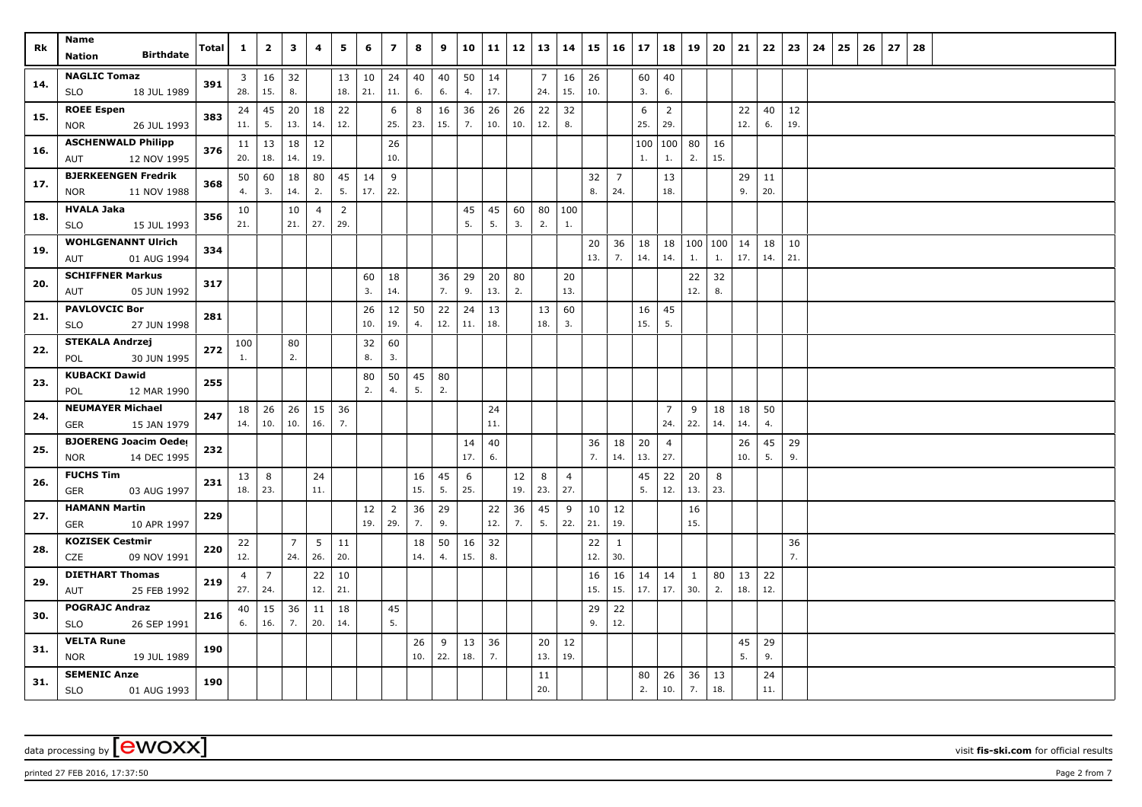| Rk  | Name                                   |       | $\mathbf{1}$    | $\overline{2}$ | 3              | 4              | 5              | 6         | $\overline{\mathbf{z}}$ | 8         | 9        | 10        | 11        | 12        | 13       | 14                    | 15        | 16             | 17       | 18                    | 19        | 20       | 21        | 22       | 23       | 24 | 25 | 26 | 27 | 28 |  |  |  |
|-----|----------------------------------------|-------|-----------------|----------------|----------------|----------------|----------------|-----------|-------------------------|-----------|----------|-----------|-----------|-----------|----------|-----------------------|-----------|----------------|----------|-----------------------|-----------|----------|-----------|----------|----------|----|----|----|----|----|--|--|--|
|     | <b>Birthdate</b><br><b>Nation</b>      | Total |                 |                |                |                |                |           |                         |           |          |           |           |           |          |                       |           |                |          |                       |           |          |           |          |          |    |    |    |    |    |  |  |  |
| 14. | <b>NAGLIC Tomaz</b>                    | 391   | 3               | 16             | 32             |                | 13             | 10        | 24                      | 40        | 40       | 50        | 14        |           | 7        | 16                    | 26        |                | 60       | 40                    |           |          |           |          |          |    |    |    |    |    |  |  |  |
|     | 18 JUL 1989<br><b>SLO</b>              |       | 28.             | 15.            | 8.             |                | 18.            | 21.       | 11.                     | 6.        | 6.       | 4.        | 17.       |           | 24.      | 15.                   | 10.       |                | 3.       | 6.                    |           |          |           |          |          |    |    |    |    |    |  |  |  |
| 15. | <b>ROEE Espen</b>                      | 383   | 24              | 45             | 20             | 18             | 22             |           | 6                       | 8         | 16       | 36        | 26        | 26        | 22       | 32                    |           |                | 6        | $\overline{2}$        |           |          | 22        | 40       | 12       |    |    |    |    |    |  |  |  |
|     | 26 JUL 1993<br><b>NOR</b>              |       | 11.             | 5.             | 13.            | 14.            | 12.            |           | 25.                     | 23.       | 15.      | 7.        | 10.       | 10.       | 12.      | 8.                    |           |                | 25.      | 29.                   |           |          | 12.       | 6.       | 19.      |    |    |    |    |    |  |  |  |
| 16. | <b>ASCHENWALD Philipp</b>              | 376   | 11              | 13             | 18             | 12             |                |           | 26                      |           |          |           |           |           |          |                       |           |                | 100      | 100                   | 80        | 16       |           |          |          |    |    |    |    |    |  |  |  |
|     | 12 NOV 1995<br>AUT                     |       | 20.             | 18.            | 14.            | 19.            |                |           | 10.                     |           |          |           |           |           |          |                       |           |                | 1.       | 1.                    | 2.        | 15.      |           |          |          |    |    |    |    |    |  |  |  |
| 17. | <b>BJERKEENGEN Fredrik</b>             | 368   | 50              | 60             | 18             | 80             | 45             | 14        | 9                       |           |          |           |           |           |          |                       | 32        | $\overline{7}$ |          | 13                    |           |          | 29        | 11       |          |    |    |    |    |    |  |  |  |
|     | 11 NOV 1988<br><b>NOR</b>              |       | 4.              | 3.             | 14.            | 2.             | 5.             | 17.       | 22.                     |           |          |           |           |           |          |                       | 8.        | 24.            |          | 18.                   |           |          | 9.        | 20.      |          |    |    |    |    |    |  |  |  |
| 18. | <b>HVALA Jaka</b>                      | 356   | 10              |                | 10             | $\overline{4}$ | $\overline{2}$ |           |                         |           |          | 45        | 45        | 60        | 80       | 100                   |           |                |          |                       |           |          |           |          |          |    |    |    |    |    |  |  |  |
|     | 15 JUL 1993<br><b>SLO</b>              |       | 21.             |                | 21.            | 27.            | 29.            |           |                         |           |          | 5.        | 5.        | 3.        | 2.       | 1.                    |           |                |          |                       |           |          |           |          |          |    |    |    |    |    |  |  |  |
| 19. | <b>WOHLGENANNT Ulrich</b>              | 334   |                 |                |                |                |                |           |                         |           |          |           |           |           |          |                       | 20        | 36             | 18       | 18                    | 100 100   |          | 14        | 18       | 10       |    |    |    |    |    |  |  |  |
|     | 01 AUG 1994<br>AUT                     |       |                 |                |                |                |                |           |                         |           |          |           |           |           |          |                       | 13.       | 7.             | 14.      | 14.                   | 1.        | 1.       | 17.       | 14.      | 21.      |    |    |    |    |    |  |  |  |
| 20. | <b>SCHIFFNER Markus</b>                | 317   |                 |                |                |                |                | 60        | 18                      |           | 36       | 29        | 20        | 80        |          | 20                    |           |                |          |                       | 22        | 32       |           |          |          |    |    |    |    |    |  |  |  |
|     | 05 JUN 1992<br>AUT                     |       |                 |                |                |                |                | 3.        | 14.                     |           | 7.       | 9.        | 13.       | 2.        |          | 13.                   |           |                |          |                       | 12.       | 8.       |           |          |          |    |    |    |    |    |  |  |  |
| 21. | <b>PAVLOVCIC Bor</b>                   | 281   |                 |                |                |                |                | 26        | 12                      | 50        | 22       | 24        | 13        |           | 13       | 60                    |           |                | 16       | 45                    |           |          |           |          |          |    |    |    |    |    |  |  |  |
|     | 27 JUN 1998<br><b>SLO</b>              |       |                 |                |                |                |                | 10.       | 19.                     | 4.        | 12.      | 11.       | 18.       |           | 18.      | 3.                    |           |                | 15.      | 5.                    |           |          |           |          |          |    |    |    |    |    |  |  |  |
| 22. | <b>STEKALA Andrzej</b>                 | 272   | 100             |                | 80             |                |                | 32        | 60                      |           |          |           |           |           |          |                       |           |                |          |                       |           |          |           |          |          |    |    |    |    |    |  |  |  |
|     | POL<br>30 JUN 1995                     |       | 1.              |                | 2.             |                |                | 8.        | 3.                      |           |          |           |           |           |          |                       |           |                |          |                       |           |          |           |          |          |    |    |    |    |    |  |  |  |
| 23. | <b>KUBACKI Dawid</b>                   | 255   |                 |                |                |                |                | 80        | 50                      | 45        | 80       |           |           |           |          |                       |           |                |          |                       |           |          |           |          |          |    |    |    |    |    |  |  |  |
|     | 12 MAR 1990<br>POL                     |       |                 |                |                |                |                | 2.        | 4.                      | 5.        | 2.       |           |           |           |          |                       |           |                |          |                       |           |          |           |          |          |    |    |    |    |    |  |  |  |
| 24. | <b>NEUMAYER Michael</b>                | 247   | 18              | 26             | 26             | 15             | 36<br>7.       |           |                         |           |          |           | 24        |           |          |                       |           |                |          | $\overline{7}$        | 9         | 18       | 18        | 50       |          |    |    |    |    |    |  |  |  |
|     | GER<br>15 JAN 1979                     |       | 14.             | 10.            | 10.            | 16.            |                |           |                         |           |          |           | 11.       |           |          |                       |           |                |          | 24.                   | 22.       | 14.      | 14.       | 4.       |          |    |    |    |    |    |  |  |  |
| 25. | <b>BJOERENG Joacim Oeder</b>           | 232   |                 |                |                |                |                |           |                         |           |          | 14<br>17. | 40<br>6.  |           |          |                       | 36<br>7.  | 18<br>14.      | 20       | $\overline{4}$<br>27. |           |          | 26<br>10. | 45<br>5. | 29<br>9. |    |    |    |    |    |  |  |  |
|     | 14 DEC 1995<br><b>NOR</b>              |       |                 |                |                |                |                |           |                         |           |          |           |           |           |          |                       |           |                | 13.      |                       |           |          |           |          |          |    |    |    |    |    |  |  |  |
| 26. | <b>FUCHS Tim</b><br>03 AUG 1997<br>GER | 231   | 13 <br>18.      | 8<br>23.       |                | 24<br>11.      |                |           |                         | 16<br>15. | 45<br>5. | 6<br>25.  |           | 12<br>19. | 8<br>23. | $\overline{4}$<br>27. |           |                | 45<br>5. | 22<br>12.             | 20<br>13. | 8<br>23. |           |          |          |    |    |    |    |    |  |  |  |
|     | <b>HAMANN Martin</b>                   |       |                 |                |                |                |                |           |                         |           |          |           |           |           |          |                       |           |                |          |                       |           |          |           |          |          |    |    |    |    |    |  |  |  |
| 27. | 10 APR 1997<br><b>GER</b>              | 229   |                 |                |                |                |                | 12<br>19. | $\overline{2}$<br>29.   | 36<br>7.  | 29<br>9. |           | 22<br>12. | 36<br>7.  | 45<br>5. | 9<br>22.              | 10<br>21. | 12<br>19.      |          |                       | 16<br>15. |          |           |          |          |    |    |    |    |    |  |  |  |
|     | <b>KOZISEK Cestmir</b>                 |       | 22              |                | $\overline{7}$ | 5              | 11             |           |                         | 18        | 50       | 16        | 32        |           |          |                       | 22        | $\mathbf{1}$   |          |                       |           |          |           |          | 36       |    |    |    |    |    |  |  |  |
| 28. | CZE<br>09 NOV 1991                     | 220   | 12.             |                | 24.            | 26.            | 20.            |           |                         | 14.       | 4.       | 15.       | 8.        |           |          |                       | 12.       | 30.            |          |                       |           |          |           |          | 7.       |    |    |    |    |    |  |  |  |
|     | <b>DIETHART Thomas</b>                 |       | 4               | $\overline{7}$ |                | 22             | 10             |           |                         |           |          |           |           |           |          |                       | 16        | 16             | 14       | 14                    | 1         | 80       | 13        | 22       |          |    |    |    |    |    |  |  |  |
| 29. | AUT<br>25 FEB 1992                     | 219   | 27.             | 24.            |                | 12.            | 21.            |           |                         |           |          |           |           |           |          |                       | 15.       | 15.            | 17.      | 17.                   | 30.       | 2.       | 18.       | 12.      |          |    |    |    |    |    |  |  |  |
|     | <b>POGRAJC Andraz</b>                  |       | 40 <sup>1</sup> | 15             | 36             | 11             | 18             |           | 45                      |           |          |           |           |           |          |                       | 29        | 22             |          |                       |           |          |           |          |          |    |    |    |    |    |  |  |  |
| 30. | <b>SLO</b><br>26 SEP 1991              | 216   | 6.              | 16.            | 7.             | 20.            | 14.            |           | 5.                      |           |          |           |           |           |          |                       | 9.        | 12.            |          |                       |           |          |           |          |          |    |    |    |    |    |  |  |  |
|     | <b>VELTA Rune</b>                      |       |                 |                |                |                |                |           |                         | 26        | 9        | 13        | 36        |           | 20       | 12                    |           |                |          |                       |           |          | 45        | 29       |          |    |    |    |    |    |  |  |  |
| 31. | <b>NOR</b><br>19 JUL 1989              | 190   |                 |                |                |                |                |           |                         | 10.       | 22.      | 18.       | 7.        |           | 13.      | 19.                   |           |                |          |                       |           |          | 5.        | 9.       |          |    |    |    |    |    |  |  |  |
|     | <b>SEMENIC Anze</b>                    |       |                 |                |                |                |                |           |                         |           |          |           |           |           | 11       |                       |           |                | 80       | 26                    | 36        | 13       |           | 24       |          |    |    |    |    |    |  |  |  |
| 31. | <b>SLO</b><br>01 AUG 1993              | 190   |                 |                |                |                |                |           |                         |           |          |           |           |           | 20.      |                       |           |                | 2.       | 10.                   | 7.        | 18.      |           | 11.      |          |    |    |    |    |    |  |  |  |

printed 27 FEB 2016, 17:37:50 Page 2 from 7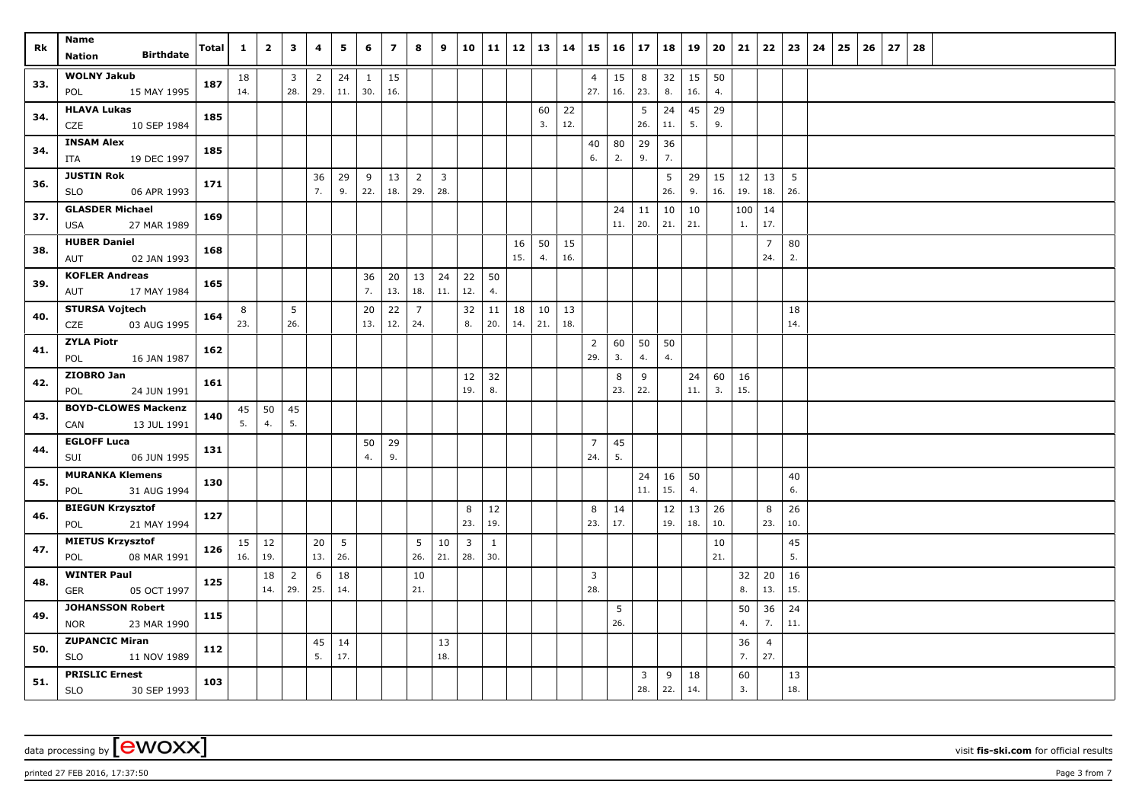| Rk  | Name                                               | <b>Total</b> | $\mathbf{1}$ | $\overline{2}$ | $\mathbf{3}$   | 4              | 5         | 6            | $\overline{ }$ | 8                     | 9              |                         | 10 11        | 12        | $13 \mid 14$ |           | 15                    | 16       | 17        | 18        | 19       | 20       | 21       | 22                    | 23        | 24 | 25 | 26 | 27 | 28 |  |  |
|-----|----------------------------------------------------|--------------|--------------|----------------|----------------|----------------|-----------|--------------|----------------|-----------------------|----------------|-------------------------|--------------|-----------|--------------|-----------|-----------------------|----------|-----------|-----------|----------|----------|----------|-----------------------|-----------|----|----|----|----|----|--|--|
|     | <b>Birthdate</b><br>Nation                         |              |              |                |                |                |           |              |                |                       |                |                         |              |           |              |           |                       |          |           |           |          |          |          |                       |           |    |    |    |    |    |  |  |
| 33. | <b>WOLNY Jakub</b>                                 | 187          | 18           |                | 3              | $\overline{2}$ | 24        | $\mathbf{1}$ | 15             |                       |                |                         |              |           |              |           | $\overline{4}$        | 15       | 8         | 32        | 15       | 50       |          |                       |           |    |    |    |    |    |  |  |
|     | 15 MAY 1995<br>POL                                 |              | 14.          |                | 28.            | 29.            | 11.       | 30.          | 16.            |                       |                |                         |              |           |              |           | 27.                   | 16.      | 23.       | 8.        | 16.      | 4.       |          |                       |           |    |    |    |    |    |  |  |
| 34. | <b>HLAVA Lukas</b>                                 | 185          |              |                |                |                |           |              |                |                       |                |                         |              |           | 60<br>3.     | 22<br>12. |                       |          | 5<br>26.  | 24<br>11. | 45<br>5. | 29<br>9. |          |                       |           |    |    |    |    |    |  |  |
|     | CZE<br>10 SEP 1984<br><b>INSAM Alex</b>            |              |              |                |                |                |           |              |                |                       |                |                         |              |           |              |           |                       |          |           |           |          |          |          |                       |           |    |    |    |    |    |  |  |
| 34. | ITA<br>19 DEC 1997                                 | 185          |              |                |                |                |           |              |                |                       |                |                         |              |           |              |           | 40<br>6.              | 80<br>2. | 29<br>9.  | 36<br>7.  |          |          |          |                       |           |    |    |    |    |    |  |  |
|     | <b>JUSTIN Rok</b>                                  |              |              |                |                | 36             | 29        | 9            | 13             | $\overline{2}$        | $\overline{3}$ |                         |              |           |              |           |                       |          |           | 5         | 29       | 15       | 12       | 13                    | 5         |    |    |    |    |    |  |  |
| 36. | <b>SLO</b><br>06 APR 1993                          | 171          |              |                |                | 7.             | 9.        | 22.          | 18.            | 29.                   | 28.            |                         |              |           |              |           |                       |          |           | 26.       | 9.       | 16.      | 19.      | 18.                   | 26.       |    |    |    |    |    |  |  |
| 37. | <b>GLASDER Michael</b>                             | 169          |              |                |                |                |           |              |                |                       |                |                         |              |           |              |           |                       | 24       | 11        | 10        | 10       |          | 100      | 14                    |           |    |    |    |    |    |  |  |
|     | 27 MAR 1989<br>USA                                 |              |              |                |                |                |           |              |                |                       |                |                         |              |           |              |           |                       | 11.      | 20.       | 21.       | 21.      |          | 1.       | 17.                   |           |    |    |    |    |    |  |  |
| 38. | <b>HUBER Daniel</b>                                | 168          |              |                |                |                |           |              |                |                       |                |                         |              | 16        | 50           | 15        |                       |          |           |           |          |          |          | $\overline{7}$        | 80        |    |    |    |    |    |  |  |
|     | 02 JAN 1993<br>AUT                                 |              |              |                |                |                |           |              |                |                       |                |                         |              | 15.       | 4.           | 16.       |                       |          |           |           |          |          |          | 24.                   | 2.        |    |    |    |    |    |  |  |
| 39. | <b>KOFLER Andreas</b><br>17 MAY 1984               | 165          |              |                |                |                |           | 36<br>7.     | 20<br>13.      | 13<br>18.             | 24<br>11.      | 22<br>12.               | 50<br>4.     |           |              |           |                       |          |           |           |          |          |          |                       |           |    |    |    |    |    |  |  |
|     | AUT<br><b>STURSA Vojtech</b>                       |              |              |                | 5              |                |           |              |                |                       |                |                         |              |           |              |           |                       |          |           |           |          |          |          |                       |           |    |    |    |    |    |  |  |
| 40. | CZE<br>03 AUG 1995                                 | 164          | 8<br>23.     |                | 26.            |                |           | 20<br>13.    | 22<br>12.      | $\overline{7}$<br>24. |                | 32<br>8.                | 11<br>20.    | 18<br>14. | 10<br>21.    | 13<br>18. |                       |          |           |           |          |          |          |                       | 18<br>14. |    |    |    |    |    |  |  |
|     | <b>ZYLA Piotr</b>                                  |              |              |                |                |                |           |              |                |                       |                |                         |              |           |              |           | $\overline{2}$        | 60       | 50        | 50        |          |          |          |                       |           |    |    |    |    |    |  |  |
| 41. | POL<br>16 JAN 1987                                 | 162          |              |                |                |                |           |              |                |                       |                |                         |              |           |              |           | 29.                   | 3.       | 4.        | 4.        |          |          |          |                       |           |    |    |    |    |    |  |  |
| 42. | ZIOBRO Jan                                         | 161          |              |                |                |                |           |              |                |                       |                | 12                      | 32           |           |              |           |                       | 8        | 9         |           | 24       | 60       | 16       |                       |           |    |    |    |    |    |  |  |
|     | POL<br>24 JUN 1991                                 |              |              |                |                |                |           |              |                |                       |                | 19.                     | 8.           |           |              |           |                       | 23.      | 22.       |           | 11.      | 3.       | 15.      |                       |           |    |    |    |    |    |  |  |
| 43. | <b>BOYD-CLOWES Mackenzi</b>                        | 140          | 45           | 50             | 45             |                |           |              |                |                       |                |                         |              |           |              |           |                       |          |           |           |          |          |          |                       |           |    |    |    |    |    |  |  |
|     | 13 JUL 1991<br>CAN                                 |              | 5.           | 4.             | 5.             |                |           |              |                |                       |                |                         |              |           |              |           |                       |          |           |           |          |          |          |                       |           |    |    |    |    |    |  |  |
| 44. | <b>EGLOFF Luca</b><br>06 JUN 1995                  | 131          |              |                |                |                |           | 50<br>4.     | 29<br>9.       |                       |                |                         |              |           |              |           | $\overline{7}$<br>24. | 45<br>5. |           |           |          |          |          |                       |           |    |    |    |    |    |  |  |
|     | SUI<br><b>MURANKA Klemens</b>                      |              |              |                |                |                |           |              |                |                       |                |                         |              |           |              |           |                       |          |           |           |          |          |          |                       |           |    |    |    |    |    |  |  |
| 45. | 31 AUG 1994<br>POL                                 | 130          |              |                |                |                |           |              |                |                       |                |                         |              |           |              |           |                       |          | 24<br>11. | 16<br>15. | 50<br>4. |          |          |                       | 40<br>6.  |    |    |    |    |    |  |  |
|     | <b>BIEGUN Krzysztof</b>                            |              |              |                |                |                |           |              |                |                       |                | 8                       | 12           |           |              |           | 8                     | 14       |           | 12        | 13       | 26       |          | 8                     | 26        |    |    |    |    |    |  |  |
| 46. | 21 MAY 1994<br>POL                                 | 127          |              |                |                |                |           |              |                |                       |                | 23.                     | 19.          |           |              |           | 23.                   | 17.      |           | 19.       | 18.      | 10.      |          | 23.                   | 10.       |    |    |    |    |    |  |  |
| 47. | <b>MIETUS Krzysztof</b>                            | 126          | 15           | 12             |                | 20             | 5         |              |                | 5                     | 10             | $\overline{\mathbf{3}}$ | $\mathbf{1}$ |           |              |           |                       |          |           |           |          | 10       |          |                       | 45        |    |    |    |    |    |  |  |
|     | 08 MAR 1991<br>POL                                 |              | 16.          | 19.            |                | 13.            | 26.       |              |                | 26.                   | 21.            | 28.                     | 30.          |           |              |           |                       |          |           |           |          | 21.      |          |                       | 5.        |    |    |    |    |    |  |  |
| 48. | <b>WINTER Paul</b>                                 | 125          |              | 18             | $\overline{2}$ | 6              | 18        |              |                | 10                    |                |                         |              |           |              |           | $\overline{3}$        |          |           |           |          |          | 32       | 20                    | 16        |    |    |    |    |    |  |  |
|     | 05 OCT 1997<br>GER                                 |              |              | 14.            | 29.            | 25.            | 14.       |              |                | 21.                   |                |                         |              |           |              |           | 28.                   |          |           |           |          |          | 8.       | 13.                   | 15.       |    |    |    |    |    |  |  |
| 49. | <b>JOHANSSON Robert</b>                            | 115          |              |                |                |                |           |              |                |                       |                |                         |              |           |              |           |                       | 5<br>26. |           |           |          |          | 50<br>4. | 36<br>7.              | 24<br>11. |    |    |    |    |    |  |  |
|     | 23 MAR 1990<br><b>NOR</b><br><b>ZUPANCIC Miran</b> |              |              |                |                |                |           |              |                |                       |                |                         |              |           |              |           |                       |          |           |           |          |          |          |                       |           |    |    |    |    |    |  |  |
| 50. | SLO<br>11 NOV 1989                                 | 112          |              |                |                | 45<br>5.       | 14<br>17. |              |                |                       | 13<br>18.      |                         |              |           |              |           |                       |          |           |           |          |          | 36<br>7. | $\overline{4}$<br>27. |           |    |    |    |    |    |  |  |
|     | <b>PRISLIC Ernest</b>                              |              |              |                |                |                |           |              |                |                       |                |                         |              |           |              |           |                       |          | 3         | 9         | 18       |          | 60       |                       | 13        |    |    |    |    |    |  |  |
| 51. | SLO<br>30 SEP 1993                                 | 103          |              |                |                |                |           |              |                |                       |                |                         |              |           |              |           |                       |          | 28.       | 22.       | 14.      |          | 3.       |                       | 18.       |    |    |    |    |    |  |  |

printed 27 FEB 2016, 17:37:50 Page 3 from 7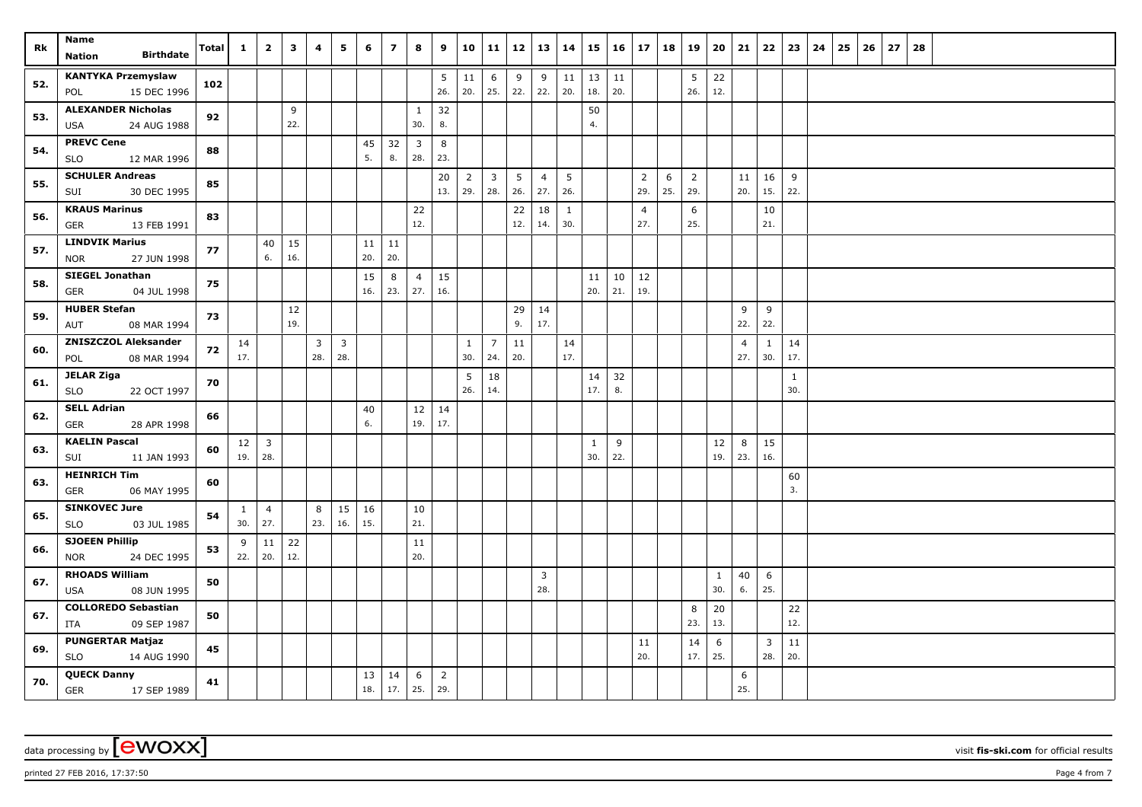| Rk  | Name                                      | <b>Total</b> | $\mathbf{1}$        | $\overline{2}$        | $\mathbf{3}$ | 4        | 5                       | 6         | $\overline{7}$ | 8                     | 9        | 10             | 11             | 12       | 13             | 14     | 15           | 16  | 17             | 18  | 19             | 20               | 21             | 22             | 23           | 24 | 25 | 26 | 27 | 28 |  |  |  |
|-----|-------------------------------------------|--------------|---------------------|-----------------------|--------------|----------|-------------------------|-----------|----------------|-----------------------|----------|----------------|----------------|----------|----------------|--------|--------------|-----|----------------|-----|----------------|------------------|----------------|----------------|--------------|----|----|----|----|----|--|--|--|
|     | <b>Birthdate</b><br>Nation                |              |                     |                       |              |          |                         |           |                |                       |          |                |                |          |                |        |              |     |                |     |                |                  |                |                |              |    |    |    |    |    |  |  |  |
| 52. | <b>KANTYKA Przemyslaw</b>                 | 102          |                     |                       |              |          |                         |           |                |                       | 5        | 11             | 6              | 9        | 9              | $11\,$ | 13           | 11  |                |     | 5              | 22               |                |                |              |    |    |    |    |    |  |  |  |
|     | 15 DEC 1996<br>POL                        |              |                     |                       |              |          |                         |           |                |                       | 26.      | 20.            | 25.            | 22.      | 22.            | 20.    | 18.          | 20. |                |     | 26.            | 12.              |                |                |              |    |    |    |    |    |  |  |  |
| 53. | <b>ALEXANDER Nicholas</b>                 | 92           |                     |                       | 9<br>22.     |          |                         |           |                | $\mathbf{1}$<br>30.   | 32<br>8. |                |                |          |                |        | 50<br>4.     |     |                |     |                |                  |                |                |              |    |    |    |    |    |  |  |  |
|     | 24 AUG 1988<br>USA<br><b>PREVC Cene</b>   |              |                     |                       |              |          |                         |           |                |                       |          |                |                |          |                |        |              |     |                |     |                |                  |                |                |              |    |    |    |    |    |  |  |  |
| 54. | 12 MAR 1996<br>SLO                        | 88           |                     |                       |              |          |                         | 45<br>5.  | 32<br>8.       | $\overline{3}$<br>28. | 8<br>23. |                |                |          |                |        |              |     |                |     |                |                  |                |                |              |    |    |    |    |    |  |  |  |
| 55. | <b>SCHULER Andreas</b>                    | 85           |                     |                       |              |          |                         |           |                |                       | 20       | $\overline{2}$ | $\overline{3}$ | 5        | $\overline{4}$ | 5      |              |     | 2              | 6   | $\overline{2}$ |                  | 11             | 16             | 9            |    |    |    |    |    |  |  |  |
|     | SUI<br>30 DEC 1995                        |              |                     |                       |              |          |                         |           |                |                       | 13.      | 29.            | 28.            | 26.      | 27.            | 26.    |              |     | 29.            | 25. | 29.            |                  | 20.            | 15.            | 22.          |    |    |    |    |    |  |  |  |
| 56. | <b>KRAUS Marinus</b>                      | 83           |                     |                       |              |          |                         |           |                | 22                    |          |                |                | 22       | 18             | 1      |              |     | $\overline{4}$ |     | 6              |                  |                | 10             |              |    |    |    |    |    |  |  |  |
|     | <b>GER</b><br>13 FEB 1991                 |              |                     |                       |              |          |                         |           |                | 12.                   |          |                |                | 12.      | 14.            | 30.    |              |     | 27.            |     | 25.            |                  |                | 21.            |              |    |    |    |    |    |  |  |  |
| 57. | <b>LINDVIK Marius</b>                     | 77           |                     | 40                    | 15           |          |                         | 11        | 11             |                       |          |                |                |          |                |        |              |     |                |     |                |                  |                |                |              |    |    |    |    |    |  |  |  |
|     | 27 JUN 1998<br><b>NOR</b>                 |              |                     | 6.                    | 16.          |          |                         | 20.       | 20.            |                       |          |                |                |          |                |        |              |     |                |     |                |                  |                |                |              |    |    |    |    |    |  |  |  |
| 58. | <b>SIEGEL Jonathan</b>                    | 75           |                     |                       |              |          |                         | 15        | 8              | $\overline{4}$        | 15       |                |                |          |                |        | 11           | 10  | 12             |     |                |                  |                |                |              |    |    |    |    |    |  |  |  |
|     | 04 JUL 1998<br>GER                        |              |                     |                       |              |          |                         | 16.       | 23.            | 27.                   | 16.      |                |                |          |                |        | 20.          | 21. | 19.            |     |                |                  |                |                |              |    |    |    |    |    |  |  |  |
| 59. | <b>HUBER Stefan</b><br>08 MAR 1994<br>AUT | 73           |                     |                       | 12<br>19.    |          |                         |           |                |                       |          |                |                | 29<br>9. | 14<br>17.      |        |              |     |                |     |                |                  | 9<br>22.       | 9<br>22.       |              |    |    |    |    |    |  |  |  |
|     | <b>ZNISZCZOL Aleksander</b>               |              |                     |                       |              | 3        | $\overline{\mathbf{3}}$ |           |                |                       |          | $\mathbf{1}$   | $\overline{7}$ | 11       |                | 14     |              |     |                |     |                |                  | $\overline{4}$ |                | 14           |    |    |    |    |    |  |  |  |
| 60. | 08 MAR 1994<br>POL                        | 72           | 14<br>17.           |                       |              | 28.      | 28.                     |           |                |                       |          | 30.            | 24.            | 20.      |                | 17.    |              |     |                |     |                |                  | 27.            | 1<br>30.       | 17.          |    |    |    |    |    |  |  |  |
|     | <b>JELAR Ziga</b>                         |              |                     |                       |              |          |                         |           |                |                       |          | 5              | 18             |          |                |        | 14           | 32  |                |     |                |                  |                |                | $\mathbf{1}$ |    |    |    |    |    |  |  |  |
| 61. | 22 OCT 1997<br><b>SLO</b>                 | 70           |                     |                       |              |          |                         |           |                |                       |          | 26.            | 14.            |          |                |        | 17.          | 8.  |                |     |                |                  |                |                | 30.          |    |    |    |    |    |  |  |  |
| 62. | <b>SELL Adrian</b>                        | 66           |                     |                       |              |          |                         | 40        |                | 12                    | 14       |                |                |          |                |        |              |     |                |     |                |                  |                |                |              |    |    |    |    |    |  |  |  |
|     | <b>GER</b><br>28 APR 1998                 |              |                     |                       |              |          |                         | 6.        |                | 19.                   | 17.      |                |                |          |                |        |              |     |                |     |                |                  |                |                |              |    |    |    |    |    |  |  |  |
| 63. | <b>KAELIN Pascal</b>                      | 60           |                     | $12 \mid 3$           |              |          |                         |           |                |                       |          |                |                |          |                |        | $\mathbf{1}$ | 9   |                |     |                | 12               | 8              | 15             |              |    |    |    |    |    |  |  |  |
|     | SUI<br>11 JAN 1993                        |              | 19.                 | 28.                   |              |          |                         |           |                |                       |          |                |                |          |                |        | 30.          | 22. |                |     |                | 19.              | 23.            | 16.            |              |    |    |    |    |    |  |  |  |
| 63. | <b>HEINRICH Tim</b>                       | 60           |                     |                       |              |          |                         |           |                |                       |          |                |                |          |                |        |              |     |                |     |                |                  |                |                | 60           |    |    |    |    |    |  |  |  |
|     | <b>GER</b><br>06 MAY 1995                 |              |                     |                       |              |          |                         |           |                |                       |          |                |                |          |                |        |              |     |                |     |                |                  |                |                | 3.           |    |    |    |    |    |  |  |  |
| 65. | <b>SINKOVEC Jure</b><br><b>SLO</b>        | 54           | $\mathbf{1}$<br>30. | $\overline{4}$<br>27. |              | 8<br>23. | 15<br>16.               | 16<br>15. |                | 10<br>21.             |          |                |                |          |                |        |              |     |                |     |                |                  |                |                |              |    |    |    |    |    |  |  |  |
|     | 03 JUL 1985<br><b>SJOEEN Phillip</b>      |              |                     | 11                    | 22           |          |                         |           |                |                       |          |                |                |          |                |        |              |     |                |     |                |                  |                |                |              |    |    |    |    |    |  |  |  |
| 66. | 24 DEC 1995<br><b>NOR</b>                 | 53           | 9<br>22.            | 20.                   | 12.          |          |                         |           |                | 11<br>20.             |          |                |                |          |                |        |              |     |                |     |                |                  |                |                |              |    |    |    |    |    |  |  |  |
|     | <b>RHOADS William</b>                     |              |                     |                       |              |          |                         |           |                |                       |          |                |                |          | $\overline{3}$ |        |              |     |                |     |                | $\mathbf{1}$     | 40             | 6              |              |    |    |    |    |    |  |  |  |
| 67. | 08 JUN 1995<br>USA                        | 50           |                     |                       |              |          |                         |           |                |                       |          |                |                |          | 28.            |        |              |     |                |     |                | 30.              | 6.             | 25.            |              |    |    |    |    |    |  |  |  |
| 67. | <b>COLLOREDO Sebastian</b>                | 50           |                     |                       |              |          |                         |           |                |                       |          |                |                |          |                |        |              |     |                |     | 8              | 20               |                |                | 22           |    |    |    |    |    |  |  |  |
|     | 09 SEP 1987<br>ITA                        |              |                     |                       |              |          |                         |           |                |                       |          |                |                |          |                |        |              |     |                |     | 23.            | 13.              |                |                | 12.          |    |    |    |    |    |  |  |  |
| 69. | <b>PUNGERTAR Matjaz</b>                   | 45           |                     |                       |              |          |                         |           |                |                       |          |                |                |          |                |        |              |     | 11             |     | 14             | $\boldsymbol{6}$ |                | $\overline{3}$ | $11\,$       |    |    |    |    |    |  |  |  |
|     | <b>SLO</b><br>14 AUG 1990                 |              |                     |                       |              |          |                         |           |                |                       |          |                |                |          |                |        |              |     | 20.            |     | 17.            | 25.              |                | 28.            | 20.          |    |    |    |    |    |  |  |  |
| 70. | <b>QUECK Danny</b>                        | 41           |                     |                       |              |          |                         | 13        | 14             | 6                     | 2        |                |                |          |                |        |              |     |                |     |                |                  | 6              |                |              |    |    |    |    |    |  |  |  |
|     | <b>GER</b><br>17 SEP 1989                 |              |                     |                       |              |          |                         | 18.       | 17.            | 25.                   | 29.      |                |                |          |                |        |              |     |                |     |                |                  | 25.            |                |              |    |    |    |    |    |  |  |  |

printed 27 FEB 2016, 17:37:50 Page 4 from 7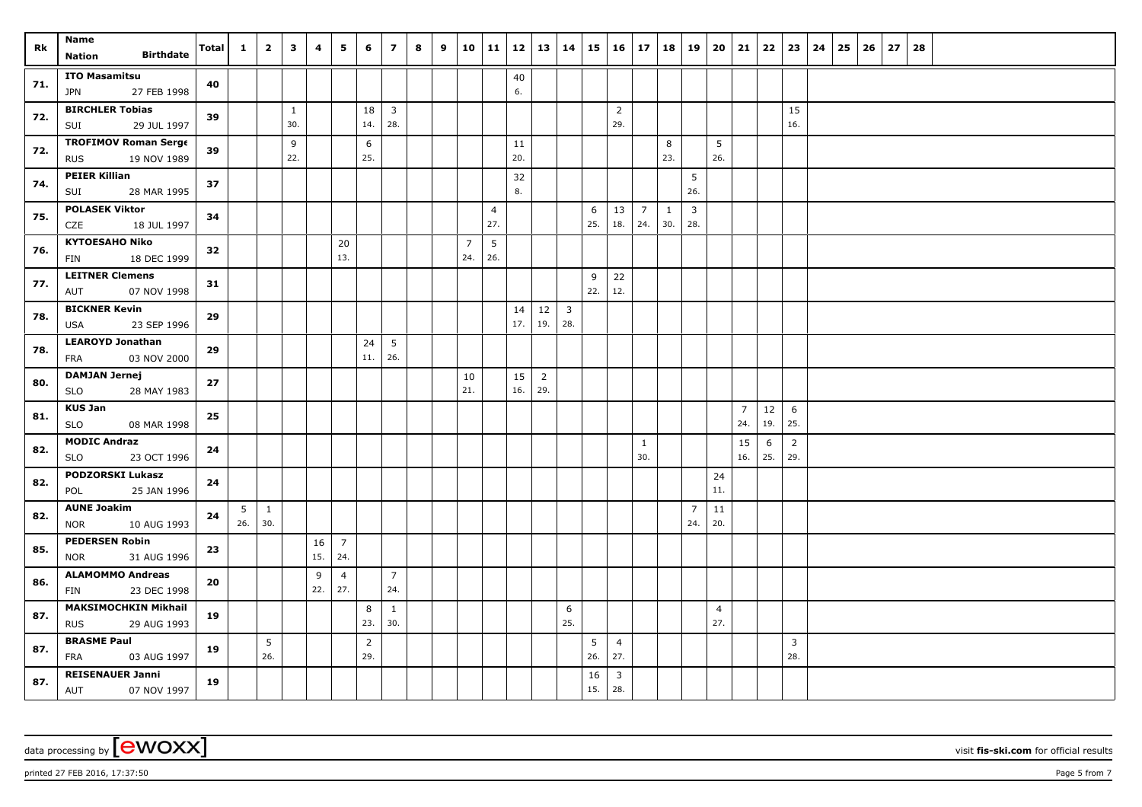| Rk  | Name<br><b>Birthdate</b><br>Nation                       | <b>Total</b> | $\mathbf{1}$           | $\overline{2}$                         | 3                   | 4         | 5                     | 6                     | $\overline{ }$        | 8 | 9 |                       | $10 \mid 11$ | $12 \mid 13 \mid 14$ |                       |                       |           | $15 \mid 16 \mid 17$  |                       | 18   19  |                       | 20                    | 21                    | 22        | 23                    | 24 | 25 | 26 | 27 | 28 |  |  |  |  |
|-----|----------------------------------------------------------|--------------|------------------------|----------------------------------------|---------------------|-----------|-----------------------|-----------------------|-----------------------|---|---|-----------------------|--------------|----------------------|-----------------------|-----------------------|-----------|-----------------------|-----------------------|----------|-----------------------|-----------------------|-----------------------|-----------|-----------------------|----|----|----|----|----|--|--|--|--|
| 71. | <b>ITO Masamitsu</b><br>27 FEB 1998<br>JPN               | 40           |                        |                                        |                     |           |                       |                       |                       |   |   |                       |              | 40<br>6.             |                       |                       |           |                       |                       |          |                       |                       |                       |           |                       |    |    |    |    |    |  |  |  |  |
| 72. | <b>BIRCHLER Tobias</b><br>29 JUL 1997<br>SUI             | 39           |                        |                                        | $\mathbf{1}$<br>30. |           |                       | 18<br>14.             | $\overline{3}$<br>28. |   |   |                       |              |                      |                       |                       |           | $\overline{2}$<br>29. |                       |          |                       |                       |                       |           | 15<br>16.             |    |    |    |    |    |  |  |  |  |
| 72. | <b>TROFIMOV Roman Serge</b><br>19 NOV 1989<br><b>RUS</b> | 39           |                        |                                        | 9<br>22.            |           |                       | 6<br>25.              |                       |   |   |                       |              | 11<br>20.            |                       |                       |           |                       |                       | 8<br>23. |                       | 5<br>26.              |                       |           |                       |    |    |    |    |    |  |  |  |  |
| 74. | <b>PEIER Killian</b><br>28 MAR 1995<br>SUI               | 37           |                        |                                        |                     |           |                       |                       |                       |   |   |                       |              | 32<br>8.             |                       |                       |           |                       |                       |          | 5<br>26.              |                       |                       |           |                       |    |    |    |    |    |  |  |  |  |
| 75. | <b>POLASEK Viktor</b><br>CZE<br>18 JUL 1997              | 34           |                        |                                        |                     |           |                       |                       |                       |   |   |                       | 4<br>27.     |                      |                       |                       | 6<br>25.  | 13<br>18.             | $\overline{7}$<br>24. | 1<br>30. | $\mathbf{3}$<br>28.   |                       |                       |           |                       |    |    |    |    |    |  |  |  |  |
| 76. | <b>KYTOESAHO Niko</b><br>18 DEC 1999<br>FIN              | 32           |                        |                                        |                     |           | 20<br>13.             |                       |                       |   |   | $\overline{7}$<br>24. | 5<br>26.     |                      |                       |                       |           |                       |                       |          |                       |                       |                       |           |                       |    |    |    |    |    |  |  |  |  |
| 77. | <b>LEITNER Clemens</b><br>07 NOV 1998<br>AUT             | 31           |                        |                                        |                     |           |                       |                       |                       |   |   |                       |              |                      |                       |                       | 9<br>22.  | 22<br>12.             |                       |          |                       |                       |                       |           |                       |    |    |    |    |    |  |  |  |  |
| 78. | <b>BICKNER Kevin</b><br>23 SEP 1996<br>USA               | 29           |                        |                                        |                     |           |                       |                       |                       |   |   |                       |              | 14<br>17.            | $12\,$<br>19.         | $\overline{3}$<br>28. |           |                       |                       |          |                       |                       |                       |           |                       |    |    |    |    |    |  |  |  |  |
| 78. | <b>LEAROYD Jonathan</b><br>03 NOV 2000<br><b>FRA</b>     | 29           |                        |                                        |                     |           |                       | 24<br>$11.$           | 5<br>26.              |   |   |                       |              |                      |                       |                       |           |                       |                       |          |                       |                       |                       |           |                       |    |    |    |    |    |  |  |  |  |
| 80. | <b>DAMJAN Jernej</b><br><b>SLO</b><br>28 MAY 1983        | 27           |                        |                                        |                     |           |                       |                       |                       |   |   | 10<br>21.             |              | 15<br>16.            | $\overline{2}$<br>29. |                       |           |                       |                       |          |                       |                       |                       |           |                       |    |    |    |    |    |  |  |  |  |
| 81. | <b>KUS Jan</b><br>SLO<br>08 MAR 1998                     | 25           |                        |                                        |                     |           |                       |                       |                       |   |   |                       |              |                      |                       |                       |           |                       |                       |          |                       |                       | $\overline{7}$<br>24. | 12<br>19. | 6<br>25.              |    |    |    |    |    |  |  |  |  |
| 82. | <b>MODIC Andraz</b><br>SLO<br>23 OCT 1996                | 24           |                        |                                        |                     |           |                       |                       |                       |   |   |                       |              |                      |                       |                       |           |                       | $\mathbf{1}$<br>30.   |          |                       |                       | 15<br>16.             | 6<br>25.  | $\overline{2}$<br>29. |    |    |    |    |    |  |  |  |  |
| 82. | <b>PODZORSKI Lukasz</b><br>25 JAN 1996<br>POL            | 24           |                        |                                        |                     |           |                       |                       |                       |   |   |                       |              |                      |                       |                       |           |                       |                       |          |                       | 24<br>11.             |                       |           |                       |    |    |    |    |    |  |  |  |  |
| 82. | <b>AUNE Joakim</b><br>10 AUG 1993<br><b>NOR</b>          | 24           | $5\overline{)}$<br>26. | $\begin{array}{cc} \end{array}$<br>30. |                     |           |                       |                       |                       |   |   |                       |              |                      |                       |                       |           |                       |                       |          | $\overline{7}$<br>24. | $11\,$<br>20.         |                       |           |                       |    |    |    |    |    |  |  |  |  |
| 85. | <b>PEDERSEN Robin</b><br><b>NOR</b><br>31 AUG 1996       | 23           |                        |                                        |                     | 16<br>15. | $\overline{7}$<br>24. |                       |                       |   |   |                       |              |                      |                       |                       |           |                       |                       |          |                       |                       |                       |           |                       |    |    |    |    |    |  |  |  |  |
| 86. | <b>ALAMOMMO Andreas</b><br>23 DEC 1998<br><b>FIN</b>     | 20           |                        |                                        |                     | 9<br>22.  | $\overline{4}$<br>27. |                       | $\overline{7}$<br>24. |   |   |                       |              |                      |                       |                       |           |                       |                       |          |                       |                       |                       |           |                       |    |    |    |    |    |  |  |  |  |
| 87. | <b>MAKSIMOCHKIN Mikhail</b><br><b>RUS</b><br>29 AUG 1993 | 19           |                        |                                        |                     |           |                       | 8<br>23.              | $\mathbf{1}$<br>30.   |   |   |                       |              |                      |                       | 6<br>25.              |           |                       |                       |          |                       | $\overline{4}$<br>27. |                       |           |                       |    |    |    |    |    |  |  |  |  |
| 87. | <b>BRASME Paul</b><br>FRA<br>03 AUG 1997                 | 19           |                        | 5<br>26.                               |                     |           |                       | $\overline{2}$<br>29. |                       |   |   |                       |              |                      |                       |                       | 5<br>26.  | $\overline{4}$<br>27. |                       |          |                       |                       |                       |           | $\overline{3}$<br>28. |    |    |    |    |    |  |  |  |  |
| 87. | <b>REISENAUER Janni</b><br><b>AUT</b><br>07 NOV 1997     | 19           |                        |                                        |                     |           |                       |                       |                       |   |   |                       |              |                      |                       |                       | 16<br>15. | 3<br>28.              |                       |          |                       |                       |                       |           |                       |    |    |    |    |    |  |  |  |  |

printed 27 FEB 2016, 17:37:50 Page 5 from 7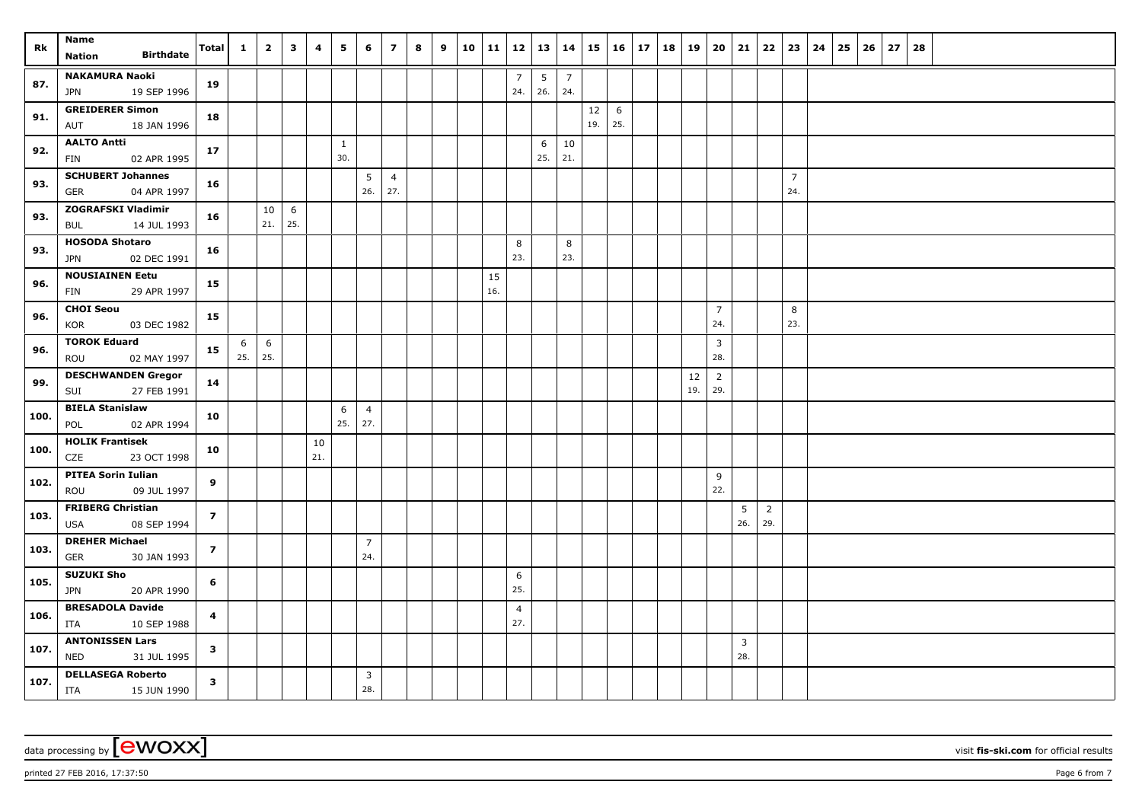| Rk   | Name                                                  | Total                   | $\mathbf{1}$ | $\overline{2}$ | $\overline{\mathbf{3}}$ | 4   | 5                   | 6              | $\overline{ }$ | 8 | 9 | 10 11 | 12   13   14   |          |                |           | $15 \mid 16 \mid 17$ | 18   19 |        | 20 21                 |                | 22                    | 23             | 24 | $25 \mid 26$ | 27 | 28 |  |  |  |  |
|------|-------------------------------------------------------|-------------------------|--------------|----------------|-------------------------|-----|---------------------|----------------|----------------|---|---|-------|----------------|----------|----------------|-----------|----------------------|---------|--------|-----------------------|----------------|-----------------------|----------------|----|--------------|----|----|--|--|--|--|
|      | <b>Birthdate</b><br>Nation                            |                         |              |                |                         |     |                     |                |                |   |   |       |                |          |                |           |                      |         |        |                       |                |                       |                |    |              |    |    |  |  |  |  |
| 87.  | <b>NAKAMURA Naoki</b>                                 | 19                      |              |                |                         |     |                     |                |                |   |   |       | $\overline{7}$ | 5        | $\overline{7}$ |           |                      |         |        |                       |                |                       |                |    |              |    |    |  |  |  |  |
|      | 19 SEP 1996<br>JPN                                    |                         |              |                |                         |     |                     |                |                |   |   |       | 24.            | 26.      | 24.            |           |                      |         |        |                       |                |                       |                |    |              |    |    |  |  |  |  |
| 91.  | <b>GREIDERER Simon</b>                                | 18                      |              |                |                         |     |                     |                |                |   |   |       |                |          |                | 12<br>19. | 6<br>25.             |         |        |                       |                |                       |                |    |              |    |    |  |  |  |  |
|      | 18 JAN 1996<br>AUT<br><b>AALTO Antti</b>              |                         |              |                |                         |     |                     |                |                |   |   |       |                |          |                |           |                      |         |        |                       |                |                       |                |    |              |    |    |  |  |  |  |
| 92.  | 02 APR 1995<br>FIN                                    | 17                      |              |                |                         |     | $\mathbf{1}$<br>30. |                |                |   |   |       |                | 6<br>25. | 10<br>21.      |           |                      |         |        |                       |                |                       |                |    |              |    |    |  |  |  |  |
|      | <b>SCHUBERT Johannes</b>                              |                         |              |                |                         |     |                     | 5              | $\overline{4}$ |   |   |       |                |          |                |           |                      |         |        |                       |                |                       | $\overline{7}$ |    |              |    |    |  |  |  |  |
| 93.  | 04 APR 1997<br>GER                                    | 16                      |              |                |                         |     |                     | 26.            | 27.            |   |   |       |                |          |                |           |                      |         |        |                       |                |                       | 24.            |    |              |    |    |  |  |  |  |
| 93.  | <b>ZOGRAFSKI Vladimir</b>                             | 16                      |              | 10             | 6                       |     |                     |                |                |   |   |       |                |          |                |           |                      |         |        |                       |                |                       |                |    |              |    |    |  |  |  |  |
|      | 14 JUL 1993<br>BUL                                    |                         |              | 21.            | 25.                     |     |                     |                |                |   |   |       |                |          |                |           |                      |         |        |                       |                |                       |                |    |              |    |    |  |  |  |  |
| 93.  | <b>HOSODA Shotaro</b>                                 | 16                      |              |                |                         |     |                     |                |                |   |   |       | 8              |          | 8              |           |                      |         |        |                       |                |                       |                |    |              |    |    |  |  |  |  |
|      | 02 DEC 1991<br><b>JPN</b>                             |                         |              |                |                         |     |                     |                |                |   |   |       | 23.            |          | 23.            |           |                      |         |        |                       |                |                       |                |    |              |    |    |  |  |  |  |
| 96.  | <b>NOUSIAINEN Eetu</b>                                | 15                      |              |                |                         |     |                     |                |                |   |   | 15    |                |          |                |           |                      |         |        |                       |                |                       |                |    |              |    |    |  |  |  |  |
|      | 29 APR 1997<br>FIN                                    |                         |              |                |                         |     |                     |                |                |   |   | 16.   |                |          |                |           |                      |         |        |                       |                |                       |                |    |              |    |    |  |  |  |  |
| 96.  | <b>CHOI Seou</b><br>KOR<br>03 DEC 1982                | 15                      |              |                |                         |     |                     |                |                |   |   |       |                |          |                |           |                      |         |        | $\overline{7}$<br>24. |                |                       | 8<br>23.       |    |              |    |    |  |  |  |  |
|      | <b>TOROK Eduard</b>                                   |                         | 6            | 6              |                         |     |                     |                |                |   |   |       |                |          |                |           |                      |         |        | $\overline{3}$        |                |                       |                |    |              |    |    |  |  |  |  |
| 96.  | ROU<br>02 MAY 1997                                    | 15                      | 25.          | 25.            |                         |     |                     |                |                |   |   |       |                |          |                |           |                      |         |        | 28.                   |                |                       |                |    |              |    |    |  |  |  |  |
|      | <b>DESCHWANDEN Gregor</b>                             |                         |              |                |                         |     |                     |                |                |   |   |       |                |          |                |           |                      |         | $12\,$ | $\overline{2}$        |                |                       |                |    |              |    |    |  |  |  |  |
| 99.  | 27 FEB 1991<br>SUI                                    | 14                      |              |                |                         |     |                     |                |                |   |   |       |                |          |                |           |                      |         | 19.    | 29.                   |                |                       |                |    |              |    |    |  |  |  |  |
| 100. | <b>BIELA Stanislaw</b>                                | 10                      |              |                |                         |     | 6                   | $\overline{4}$ |                |   |   |       |                |          |                |           |                      |         |        |                       |                |                       |                |    |              |    |    |  |  |  |  |
|      | POL<br>02 APR 1994                                    |                         |              |                |                         |     | 25.                 | 27.            |                |   |   |       |                |          |                |           |                      |         |        |                       |                |                       |                |    |              |    |    |  |  |  |  |
| 100. | <b>HOLIK Frantisek</b>                                | 10                      |              |                |                         | 10  |                     |                |                |   |   |       |                |          |                |           |                      |         |        |                       |                |                       |                |    |              |    |    |  |  |  |  |
|      | CZE<br>23 OCT 1998                                    |                         |              |                |                         | 21. |                     |                |                |   |   |       |                |          |                |           |                      |         |        |                       |                |                       |                |    |              |    |    |  |  |  |  |
| 102. | <b>PITEA Sorin Iulian</b><br>09 JUL 1997<br>ROU       | 9                       |              |                |                         |     |                     |                |                |   |   |       |                |          |                |           |                      |         |        | 9<br>22.              |                |                       |                |    |              |    |    |  |  |  |  |
|      | <b>FRIBERG Christian</b>                              |                         |              |                |                         |     |                     |                |                |   |   |       |                |          |                |           |                      |         |        |                       | 5              |                       |                |    |              |    |    |  |  |  |  |
| 103. | 08 SEP 1994<br><b>USA</b>                             | $\overline{z}$          |              |                |                         |     |                     |                |                |   |   |       |                |          |                |           |                      |         |        |                       | 26.            | $\overline{2}$<br>29. |                |    |              |    |    |  |  |  |  |
|      | <b>DREHER Michael</b>                                 |                         |              |                |                         |     |                     | $\overline{7}$ |                |   |   |       |                |          |                |           |                      |         |        |                       |                |                       |                |    |              |    |    |  |  |  |  |
| 103. | 30 JAN 1993<br>GER                                    | $\overline{z}$          |              |                |                         |     |                     | 24.            |                |   |   |       |                |          |                |           |                      |         |        |                       |                |                       |                |    |              |    |    |  |  |  |  |
| 105. | <b>SUZUKI Sho</b>                                     | 6                       |              |                |                         |     |                     |                |                |   |   |       | 6              |          |                |           |                      |         |        |                       |                |                       |                |    |              |    |    |  |  |  |  |
|      | <b>JPN</b><br>20 APR 1990                             |                         |              |                |                         |     |                     |                |                |   |   |       | 25.            |          |                |           |                      |         |        |                       |                |                       |                |    |              |    |    |  |  |  |  |
| 106. | <b>BRESADOLA Davide</b>                               | 4                       |              |                |                         |     |                     |                |                |   |   |       | $\overline{4}$ |          |                |           |                      |         |        |                       |                |                       |                |    |              |    |    |  |  |  |  |
|      | 10 SEP 1988<br>ITA                                    |                         |              |                |                         |     |                     |                |                |   |   |       | 27.            |          |                |           |                      |         |        |                       |                |                       |                |    |              |    |    |  |  |  |  |
| 107. | <b>ANTONISSEN Lars</b>                                | $\mathbf{3}$            |              |                |                         |     |                     |                |                |   |   |       |                |          |                |           |                      |         |        |                       | $\overline{3}$ |                       |                |    |              |    |    |  |  |  |  |
|      | <b>NED</b><br>31 JUL 1995                             |                         |              |                |                         |     |                     |                |                |   |   |       |                |          |                |           |                      |         |        |                       | 28.            |                       |                |    |              |    |    |  |  |  |  |
| 107. | <b>DELLASEGA Roberto</b><br>15 JUN 1990<br><b>ITA</b> | $\overline{\mathbf{3}}$ |              |                |                         |     |                     | 3<br>28.       |                |   |   |       |                |          |                |           |                      |         |        |                       |                |                       |                |    |              |    |    |  |  |  |  |

printed 27 FEB 2016, 17:37:50 Page 6 from 7